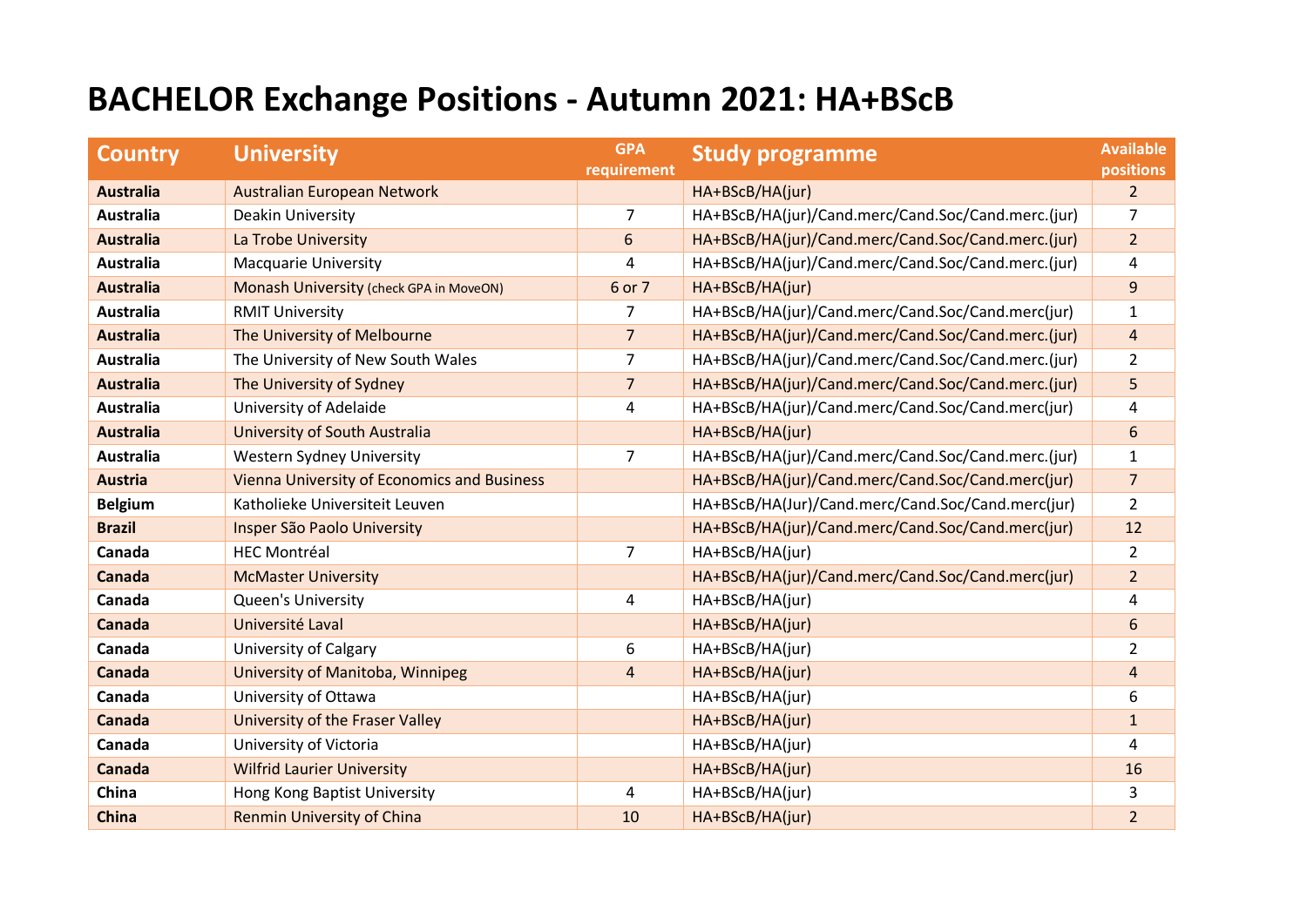## **BACHELOR Exchange Positions - Autumn 2021: HA+BScB**

| <b>Country</b>   | <b>University</b>                                  | <b>GPA</b><br>requirement | <b>Study programme</b>                             | <b>Available</b><br><b>positions</b> |
|------------------|----------------------------------------------------|---------------------------|----------------------------------------------------|--------------------------------------|
| <b>Australia</b> | Australian European Network                        |                           | HA+BScB/HA(jur)                                    | $\overline{2}$                       |
| <b>Australia</b> | Deakin University                                  | 7                         | HA+BScB/HA(jur)/Cand.merc/Cand.Soc/Cand.merc.(jur) | 7                                    |
| <b>Australia</b> | La Trobe University                                | 6                         | HA+BScB/HA(jur)/Cand.merc/Cand.Soc/Cand.merc.(jur) | $\overline{2}$                       |
| <b>Australia</b> | <b>Macquarie University</b>                        | $\overline{4}$            | HA+BScB/HA(jur)/Cand.merc/Cand.Soc/Cand.merc.(jur) | 4                                    |
| <b>Australia</b> | Monash University (check GPA in MoveON)            | 6 or 7                    | HA+BScB/HA(jur)                                    | 9                                    |
| <b>Australia</b> | <b>RMIT University</b>                             | $\overline{7}$            | HA+BScB/HA(jur)/Cand.merc/Cand.Soc/Cand.merc(jur)  | $\mathbf{1}$                         |
| <b>Australia</b> | The University of Melbourne                        | $\overline{7}$            | HA+BScB/HA(jur)/Cand.merc/Cand.Soc/Cand.merc.(jur) | $\overline{4}$                       |
| <b>Australia</b> | The University of New South Wales                  | $\overline{7}$            | HA+BScB/HA(jur)/Cand.merc/Cand.Soc/Cand.merc.(jur) | $\overline{2}$                       |
| <b>Australia</b> | The University of Sydney                           | $\overline{7}$            | HA+BScB/HA(jur)/Cand.merc/Cand.Soc/Cand.merc.(jur) | 5                                    |
| <b>Australia</b> | University of Adelaide                             | 4                         | HA+BScB/HA(jur)/Cand.merc/Cand.Soc/Cand.merc(jur)  | 4                                    |
| <b>Australia</b> | University of South Australia                      |                           | HA+BScB/HA(jur)                                    | 6                                    |
| <b>Australia</b> | <b>Western Sydney University</b>                   | $\overline{7}$            | HA+BScB/HA(jur)/Cand.merc/Cand.Soc/Cand.merc.(jur) | $\mathbf{1}$                         |
| <b>Austria</b>   | <b>Vienna University of Economics and Business</b> |                           | HA+BScB/HA(jur)/Cand.merc/Cand.Soc/Cand.merc(jur)  | $\overline{7}$                       |
| <b>Belgium</b>   | Katholieke Universiteit Leuven                     |                           | HA+BScB/HA(Jur)/Cand.merc/Cand.Soc/Cand.merc(jur)  | $\overline{2}$                       |
| <b>Brazil</b>    | Insper São Paolo University                        |                           | HA+BScB/HA(jur)/Cand.merc/Cand.Soc/Cand.merc(jur)  | 12                                   |
| Canada           | <b>HEC Montréal</b>                                | $\overline{7}$            | HA+BScB/HA(jur)                                    | $\overline{2}$                       |
| Canada           | <b>McMaster University</b>                         |                           | HA+BScB/HA(jur)/Cand.merc/Cand.Soc/Cand.merc(jur)  | $\overline{2}$                       |
| Canada           | Queen's University                                 | 4                         | HA+BScB/HA(jur)                                    | 4                                    |
| Canada           | Université Laval                                   |                           | HA+BScB/HA(jur)                                    | 6                                    |
| Canada           | <b>University of Calgary</b>                       | 6                         | HA+BScB/HA(jur)                                    | $\overline{2}$                       |
| Canada           | University of Manitoba, Winnipeg                   | $\overline{4}$            | HA+BScB/HA(jur)                                    | $\overline{4}$                       |
| Canada           | University of Ottawa                               |                           | HA+BScB/HA(jur)                                    | 6                                    |
| Canada           | University of the Fraser Valley                    |                           | HA+BScB/HA(jur)                                    | $\mathbf{1}$                         |
| Canada           | University of Victoria                             |                           | HA+BScB/HA(jur)                                    | 4                                    |
| Canada           | <b>Wilfrid Laurier University</b>                  |                           | HA+BScB/HA(jur)                                    | 16                                   |
| China            | Hong Kong Baptist University                       | 4                         | HA+BScB/HA(jur)                                    | 3                                    |
| <b>China</b>     | <b>Renmin University of China</b>                  | 10                        | HA+BScB/HA(jur)                                    | $\overline{2}$                       |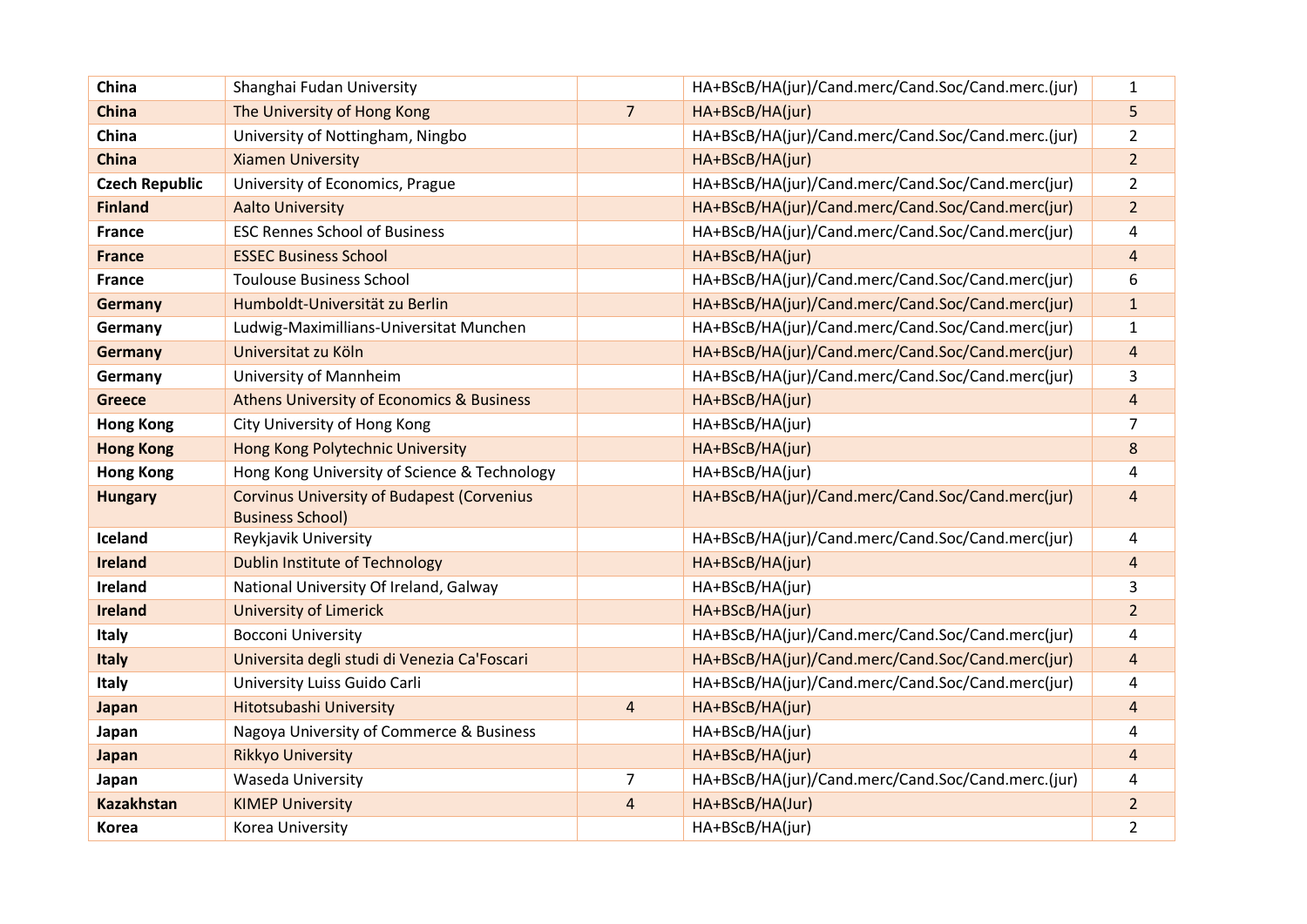| China                 | Shanghai Fudan University                         |                | HA+BScB/HA(jur)/Cand.merc/Cand.Soc/Cand.merc.(jur) | $\mathbf{1}$            |
|-----------------------|---------------------------------------------------|----------------|----------------------------------------------------|-------------------------|
| <b>China</b>          | The University of Hong Kong                       | $\overline{7}$ | HA+BScB/HA(jur)                                    | 5                       |
| China                 | University of Nottingham, Ningbo                  |                | HA+BScB/HA(jur)/Cand.merc/Cand.Soc/Cand.merc.(jur) | $\overline{2}$          |
| <b>China</b>          | <b>Xiamen University</b>                          |                | HA+BScB/HA(jur)                                    | $\overline{2}$          |
| <b>Czech Republic</b> | University of Economics, Prague                   |                | HA+BScB/HA(jur)/Cand.merc/Cand.Soc/Cand.merc(jur)  | $\overline{2}$          |
| <b>Finland</b>        | <b>Aalto University</b>                           |                | HA+BScB/HA(jur)/Cand.merc/Cand.Soc/Cand.merc(jur)  | $\overline{a}$          |
| <b>France</b>         | <b>ESC Rennes School of Business</b>              |                | HA+BScB/HA(jur)/Cand.merc/Cand.Soc/Cand.merc(jur)  | 4                       |
| <b>France</b>         | <b>ESSEC Business School</b>                      |                | HA+BScB/HA(jur)                                    | $\overline{\mathbf{4}}$ |
| <b>France</b>         | <b>Toulouse Business School</b>                   |                | HA+BScB/HA(jur)/Cand.merc/Cand.Soc/Cand.merc(jur)  | 6                       |
| Germany               | Humboldt-Universität zu Berlin                    |                | HA+BScB/HA(jur)/Cand.merc/Cand.Soc/Cand.merc(jur)  | $\mathbf{1}$            |
| Germany               | Ludwig-Maximillians-Universitat Munchen           |                | HA+BScB/HA(jur)/Cand.merc/Cand.Soc/Cand.merc(jur)  | $\mathbf{1}$            |
| <b>Germany</b>        | Universitat zu Köln                               |                | HA+BScB/HA(jur)/Cand.merc/Cand.Soc/Cand.merc(jur)  | 4                       |
| Germany               | University of Mannheim                            |                | HA+BScB/HA(jur)/Cand.merc/Cand.Soc/Cand.merc(jur)  | 3                       |
| <b>Greece</b>         | Athens University of Economics & Business         |                | HA+BScB/HA(jur)                                    | 4                       |
| <b>Hong Kong</b>      | City University of Hong Kong                      |                | HA+BScB/HA(jur)                                    | 7                       |
| <b>Hong Kong</b>      | Hong Kong Polytechnic University                  |                | HA+BScB/HA(jur)                                    | 8                       |
| <b>Hong Kong</b>      | Hong Kong University of Science & Technology      |                | HA+BScB/HA(jur)                                    | 4                       |
| <b>Hungary</b>        | <b>Corvinus University of Budapest (Corvenius</b> |                | HA+BScB/HA(jur)/Cand.merc/Cand.Soc/Cand.merc(jur)  | $\overline{4}$          |
|                       | <b>Business School)</b>                           |                |                                                    |                         |
| Iceland               | Reykjavik University                              |                | HA+BScB/HA(jur)/Cand.merc/Cand.Soc/Cand.merc(jur)  | 4                       |
| <b>Ireland</b>        | <b>Dublin Institute of Technology</b>             |                | HA+BScB/HA(jur)                                    | $\overline{\mathbf{4}}$ |
| Ireland               | National University Of Ireland, Galway            |                | HA+BScB/HA(jur)                                    | 3                       |
| <b>Ireland</b>        | <b>University of Limerick</b>                     |                | HA+BScB/HA(jur)                                    | $\overline{2}$          |
| Italy                 | <b>Bocconi University</b>                         |                | HA+BScB/HA(jur)/Cand.merc/Cand.Soc/Cand.merc(jur)  | 4                       |
| <b>Italy</b>          | Universita degli studi di Venezia Ca'Foscari      |                | HA+BScB/HA(jur)/Cand.merc/Cand.Soc/Cand.merc(jur)  | 4                       |
| Italy                 | University Luiss Guido Carli                      |                | HA+BScB/HA(jur)/Cand.merc/Cand.Soc/Cand.merc(jur)  | 4                       |
| Japan                 | Hitotsubashi University                           | $\overline{4}$ | HA+BScB/HA(jur)                                    | 4                       |
| Japan                 | Nagoya University of Commerce & Business          |                | HA+BScB/HA(jur)                                    | 4                       |
| Japan                 | <b>Rikkyo University</b>                          |                | HA+BScB/HA(jur)                                    | 4                       |
| Japan                 | Waseda University                                 | $\overline{7}$ | HA+BScB/HA(jur)/Cand.merc/Cand.Soc/Cand.merc.(jur) | 4                       |
| <b>Kazakhstan</b>     | <b>KIMEP University</b>                           | $\overline{4}$ | HA+BScB/HA(Jur)                                    | $\overline{a}$          |
| <b>Korea</b>          | Korea University                                  |                | HA+BScB/HA(jur)                                    | 2                       |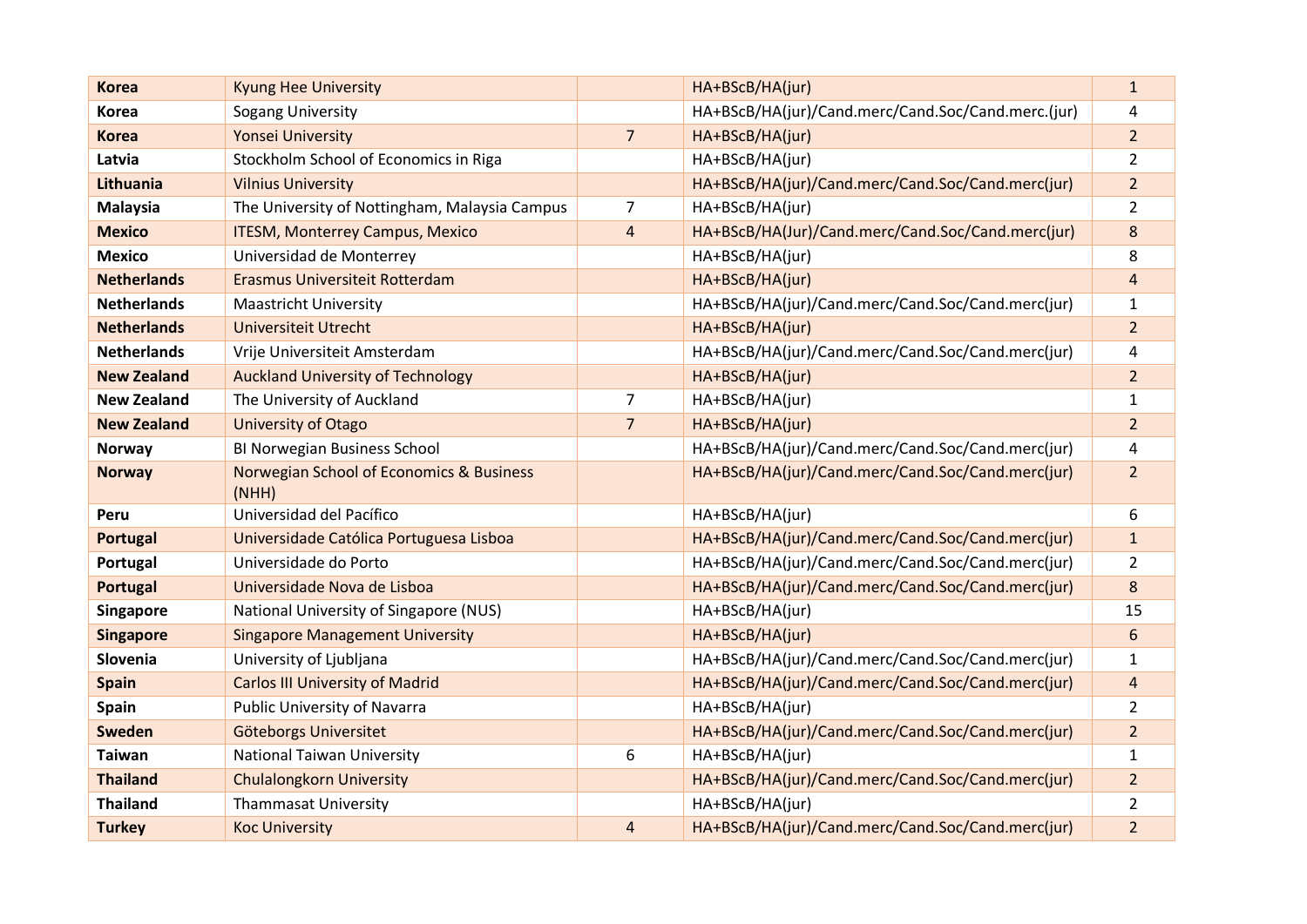| <b>Korea</b>       | <b>Kyung Hee University</b>                       |                | HA+BScB/HA(jur)                                    | $\mathbf{1}$   |
|--------------------|---------------------------------------------------|----------------|----------------------------------------------------|----------------|
| <b>Korea</b>       | Sogang University                                 |                | HA+BScB/HA(jur)/Cand.merc/Cand.Soc/Cand.merc.(jur) | 4              |
| <b>Korea</b>       | <b>Yonsei University</b>                          | $\overline{7}$ | HA+BScB/HA(jur)                                    | $\overline{a}$ |
| Latvia             | Stockholm School of Economics in Riga             |                | HA+BScB/HA(jur)                                    | $\overline{2}$ |
| Lithuania          | <b>Vilnius University</b>                         |                | HA+BScB/HA(jur)/Cand.merc/Cand.Soc/Cand.merc(jur)  | 2 <sup>1</sup> |
| <b>Malaysia</b>    | The University of Nottingham, Malaysia Campus     | $\overline{7}$ | HA+BScB/HA(jur)                                    | $\overline{2}$ |
| <b>Mexico</b>      | <b>ITESM, Monterrey Campus, Mexico</b>            | $\overline{4}$ | HA+BScB/HA(Jur)/Cand.merc/Cand.Soc/Cand.merc(jur)  | 8              |
| <b>Mexico</b>      | Universidad de Monterrey                          |                | HA+BScB/HA(jur)                                    | 8              |
| <b>Netherlands</b> | Erasmus Universiteit Rotterdam                    |                | HA+BScB/HA(jur)                                    | 4              |
| <b>Netherlands</b> | <b>Maastricht University</b>                      |                | HA+BScB/HA(jur)/Cand.merc/Cand.Soc/Cand.merc(jur)  | $\mathbf{1}$   |
| <b>Netherlands</b> | <b>Universiteit Utrecht</b>                       |                | HA+BScB/HA(jur)                                    | $\overline{2}$ |
| <b>Netherlands</b> | Vrije Universiteit Amsterdam                      |                | HA+BScB/HA(jur)/Cand.merc/Cand.Soc/Cand.merc(jur)  | 4              |
| <b>New Zealand</b> | <b>Auckland University of Technology</b>          |                | HA+BScB/HA(jur)                                    | $\overline{2}$ |
| <b>New Zealand</b> | The University of Auckland                        | $\overline{7}$ | HA+BScB/HA(jur)                                    | $\mathbf{1}$   |
| <b>New Zealand</b> | University of Otago                               | $\overline{7}$ | HA+BScB/HA(jur)                                    | $\overline{a}$ |
| <b>Norway</b>      | BI Norwegian Business School                      |                | HA+BScB/HA(jur)/Cand.merc/Cand.Soc/Cand.merc(jur)  | 4              |
| <b>Norway</b>      | Norwegian School of Economics & Business<br>(NHH) |                | HA+BScB/HA(jur)/Cand.merc/Cand.Soc/Cand.merc(jur)  | $\overline{2}$ |
| Peru               | Universidad del Pacífico                          |                | HA+BScB/HA(jur)                                    | 6              |
| Portugal           | Universidade Católica Portuguesa Lisboa           |                | HA+BScB/HA(jur)/Cand.merc/Cand.Soc/Cand.merc(jur)  | $\mathbf{1}$   |
| Portugal           | Universidade do Porto                             |                | HA+BScB/HA(jur)/Cand.merc/Cand.Soc/Cand.merc(jur)  | $\overline{2}$ |
| <b>Portugal</b>    | Universidade Nova de Lisboa                       |                | HA+BScB/HA(jur)/Cand.merc/Cand.Soc/Cand.merc(jur)  | 8              |
| Singapore          | National University of Singapore (NUS)            |                | HA+BScB/HA(jur)                                    | 15             |
| <b>Singapore</b>   | <b>Singapore Management University</b>            |                | HA+BScB/HA(jur)                                    | 6              |
| Slovenia           | University of Ljubljana                           |                | HA+BScB/HA(jur)/Cand.merc/Cand.Soc/Cand.merc(jur)  | $\mathbf{1}$   |
| <b>Spain</b>       | <b>Carlos III University of Madrid</b>            |                | HA+BScB/HA(jur)/Cand.merc/Cand.Soc/Cand.merc(jur)  | $\overline{4}$ |
| Spain              | <b>Public University of Navarra</b>               |                | HA+BScB/HA(jur)                                    | $\overline{2}$ |
| Sweden             | Göteborgs Universitet                             |                | HA+BScB/HA(jur)/Cand.merc/Cand.Soc/Cand.merc(jur)  | $\overline{2}$ |
| <b>Taiwan</b>      | <b>National Taiwan University</b>                 | 6              | HA+BScB/HA(jur)                                    | 1              |
| <b>Thailand</b>    | <b>Chulalongkorn University</b>                   |                | HA+BScB/HA(jur)/Cand.merc/Cand.Soc/Cand.merc(jur)  | $\overline{2}$ |
| <b>Thailand</b>    | <b>Thammasat University</b>                       |                | HA+BScB/HA(jur)                                    | $\overline{2}$ |
| <b>Turkey</b>      | <b>Koc University</b>                             | $\overline{4}$ | HA+BScB/HA(jur)/Cand.merc/Cand.Soc/Cand.merc(jur)  | $\overline{a}$ |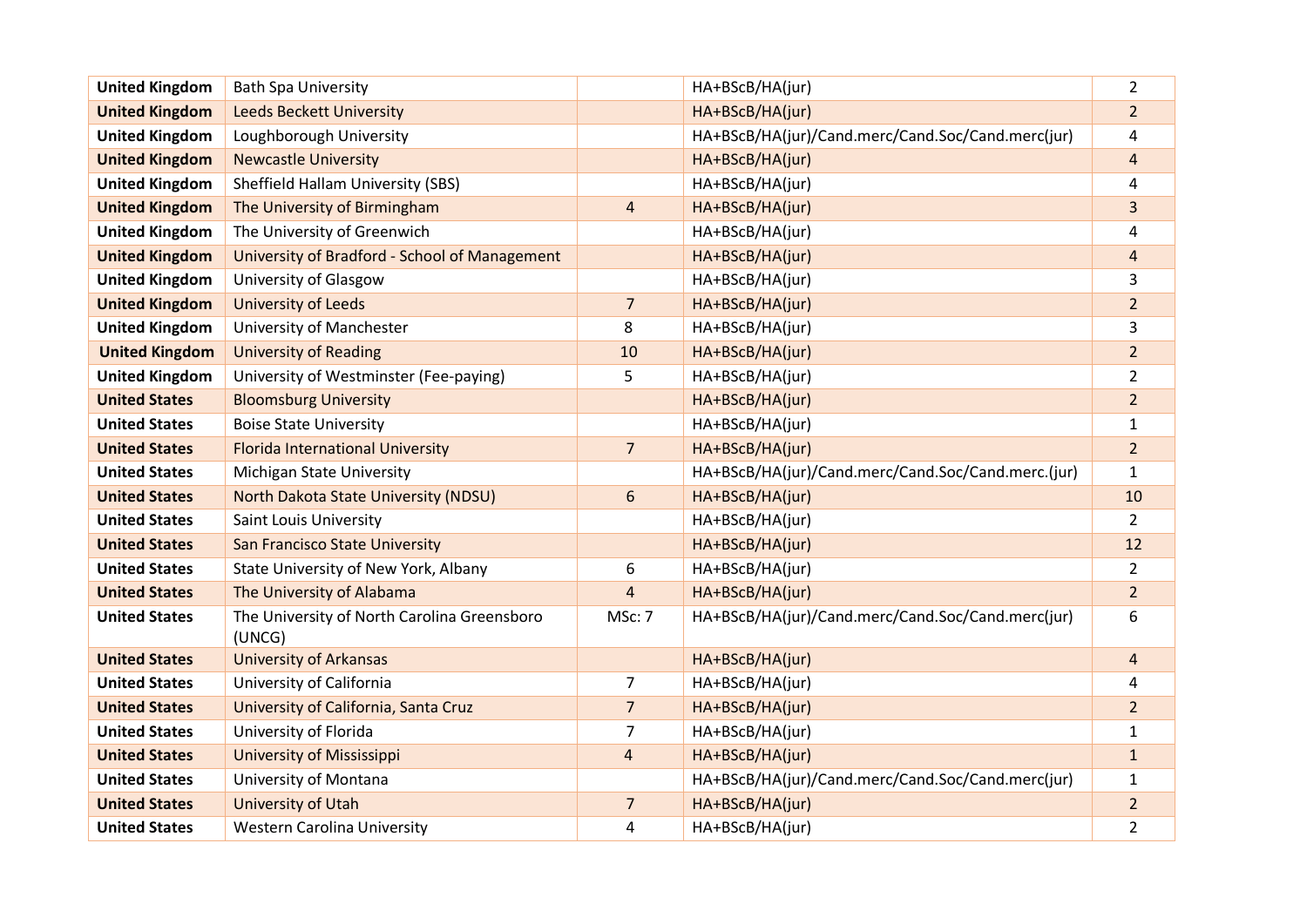| <b>United Kingdom</b> | <b>Bath Spa University</b>                            |                | HA+BScB/HA(jur)                                    | $\overline{2}$ |
|-----------------------|-------------------------------------------------------|----------------|----------------------------------------------------|----------------|
| <b>United Kingdom</b> | <b>Leeds Beckett University</b>                       |                | HA+BScB/HA(jur)                                    | $\overline{2}$ |
| <b>United Kingdom</b> | Loughborough University                               |                | HA+BScB/HA(jur)/Cand.merc/Cand.Soc/Cand.merc(jur)  | 4              |
| <b>United Kingdom</b> | <b>Newcastle University</b>                           |                | HA+BScB/HA(jur)                                    | 4              |
| <b>United Kingdom</b> | Sheffield Hallam University (SBS)                     |                | HA+BScB/HA(jur)                                    | 4              |
| <b>United Kingdom</b> | The University of Birmingham                          | $\overline{4}$ | HA+BScB/HA(jur)                                    | 3              |
| <b>United Kingdom</b> | The University of Greenwich                           |                | HA+BScB/HA(jur)                                    | 4              |
| <b>United Kingdom</b> | University of Bradford - School of Management         |                | HA+BScB/HA(jur)                                    | 4              |
| <b>United Kingdom</b> | University of Glasgow                                 |                | HA+BScB/HA(jur)                                    | 3              |
| <b>United Kingdom</b> | <b>University of Leeds</b>                            | $\overline{7}$ | HA+BScB/HA(jur)                                    | $\overline{2}$ |
| <b>United Kingdom</b> | University of Manchester                              | 8              | HA+BScB/HA(jur)                                    | 3              |
| <b>United Kingdom</b> | <b>University of Reading</b>                          | 10             | HA+BScB/HA(jur)                                    | $\overline{2}$ |
| <b>United Kingdom</b> | University of Westminster (Fee-paying)                | 5              | HA+BScB/HA(jur)                                    | $\overline{2}$ |
| <b>United States</b>  | <b>Bloomsburg University</b>                          |                | HA+BScB/HA(jur)                                    | 2 <sup>1</sup> |
| <b>United States</b>  | <b>Boise State University</b>                         |                | HA+BScB/HA(jur)                                    | $\mathbf{1}$   |
| <b>United States</b>  | <b>Florida International University</b>               | $\overline{7}$ | HA+BScB/HA(jur)                                    | $\overline{2}$ |
| <b>United States</b>  | <b>Michigan State University</b>                      |                | HA+BScB/HA(jur)/Cand.merc/Cand.Soc/Cand.merc.(jur) | $\mathbf{1}$   |
| <b>United States</b>  | North Dakota State University (NDSU)                  | 6              | HA+BScB/HA(jur)                                    | 10             |
| <b>United States</b>  | <b>Saint Louis University</b>                         |                | HA+BScB/HA(jur)                                    | $\overline{2}$ |
| <b>United States</b>  | <b>San Francisco State University</b>                 |                | HA+BScB/HA(jur)                                    | 12             |
| <b>United States</b>  | State University of New York, Albany                  | 6              | HA+BScB/HA(jur)                                    | $\overline{2}$ |
| <b>United States</b>  | The University of Alabama                             | 4              | HA+BScB/HA(jur)                                    | $\overline{2}$ |
| <b>United States</b>  | The University of North Carolina Greensboro<br>(UNCG) | MSc: 7         | HA+BScB/HA(jur)/Cand.merc/Cand.Soc/Cand.merc(jur)  | 6              |
| <b>United States</b>  | <b>University of Arkansas</b>                         |                | HA+BScB/HA(jur)                                    | 4              |
| <b>United States</b>  | University of California                              | 7              | HA+BScB/HA(jur)                                    | 4              |
| <b>United States</b>  | University of California, Santa Cruz                  | $\overline{7}$ | HA+BScB/HA(jur)                                    | $\overline{2}$ |
| <b>United States</b>  | University of Florida                                 | $\overline{7}$ | HA+BScB/HA(jur)                                    | $\mathbf{1}$   |
| <b>United States</b>  | <b>University of Mississippi</b>                      | $\overline{4}$ | HA+BScB/HA(jur)                                    | $\mathbf{1}$   |
| <b>United States</b>  | University of Montana                                 |                | HA+BScB/HA(jur)/Cand.merc/Cand.Soc/Cand.merc(jur)  | $\mathbf{1}$   |
| <b>United States</b>  | <b>University of Utah</b>                             | $\overline{7}$ | HA+BScB/HA(jur)                                    | $\overline{a}$ |
| <b>United States</b>  | <b>Western Carolina University</b>                    | 4              | HA+BScB/HA(jur)                                    | $\overline{2}$ |